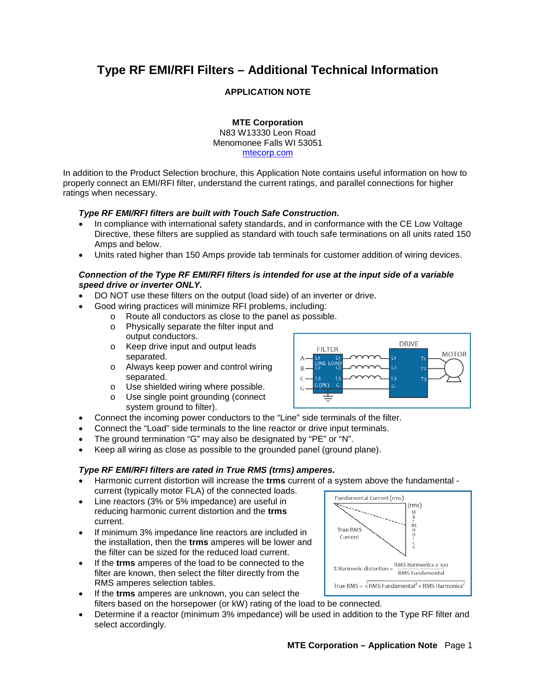# **Type RF EMI/RFI Filters – Additional Technical Information**

# **APPLICATION NOTE**

**MTE Corporation** N83 W13330 Leon Road Menomonee Falls WI 53051 [mtecorp.com](http://www.mtecorp.com/)

In addition to the Product Selection brochure, this Application Note contains useful information on how to properly connect an EMI/RFI filter, understand the current ratings, and parallel connections for higher ratings when necessary.

## *Type RF EMI/RFI filters are built with Touch Safe Construction.*

- In compliance with international safety standards, and in conformance with the CE Low Voltage Directive, these filters are supplied as standard with touch safe terminations on all units rated 150 Amps and below.
- Units rated higher than 150 Amps provide tab terminals for customer addition of wiring devices.

#### *Connection of the Type RF EMI/RFI filters is intended for use at the input side of a variable speed drive or inverter ONLY.*

- DO NOT use these filters on the output (load side) of an inverter or drive.
- Good wiring practices will minimize RFI problems, including:
	- $\circ$  Route all conductors as close to the panel as possible.<br>  $\circ$  Physically separate the filter input and
		- Physically separate the filter input and output conductors.
	- o Keep drive input and output leads separated.
	- o Always keep power and control wiring separated.
	- o Use shielded wiring where possible.<br>
	o Use single point grounding (connect
	- Use single point grounding (connect system ground to filter).
- Connect the incoming power conductors to the "Line" side terminals of the filter.
- Connect the "Load" side terminals to the line reactor or drive input terminals.
- The ground termination "G" may also be designated by "PE" or "N".
- Keep all wiring as close as possible to the grounded panel (ground plane).

## *Type RF EMI/RFI filters are rated in True RMS (trms) amperes.*

- Harmonic current distortion will increase the **trms** current of a system above the fundamental current (typically motor FLA) of the connected loads. Fundamental Current (rms)
- Line reactors (3% or 5% impedance) are useful in reducing harmonic current distortion and the **trms** current.
- If minimum 3% impedance line reactors are included in the installation, then the **trms** amperes will be lower and the filter can be sized for the reduced load current.
- If the **trms** amperes of the load to be connected to the filter are known, then select the filter directly from the RMS amperes selection tables.
- True RMS =  $\sqrt{\text{RMS}}$  Fundamental<sup>2</sup> + RMS Harmonics<sup>2</sup> • If the **trms** amperes are unknown, you can select the filters based on the horsepower (or kW) rating of the load to be connected.
- Determine if a reactor (minimum 3% impedance) will be used in addition to the Type RF filter and select accordingly.



 $(rms)$  $H$ 下のり

RMS Harmonics x 100

**BMS** Eundamental

**True RMS** Current

% Harmonic distortion =